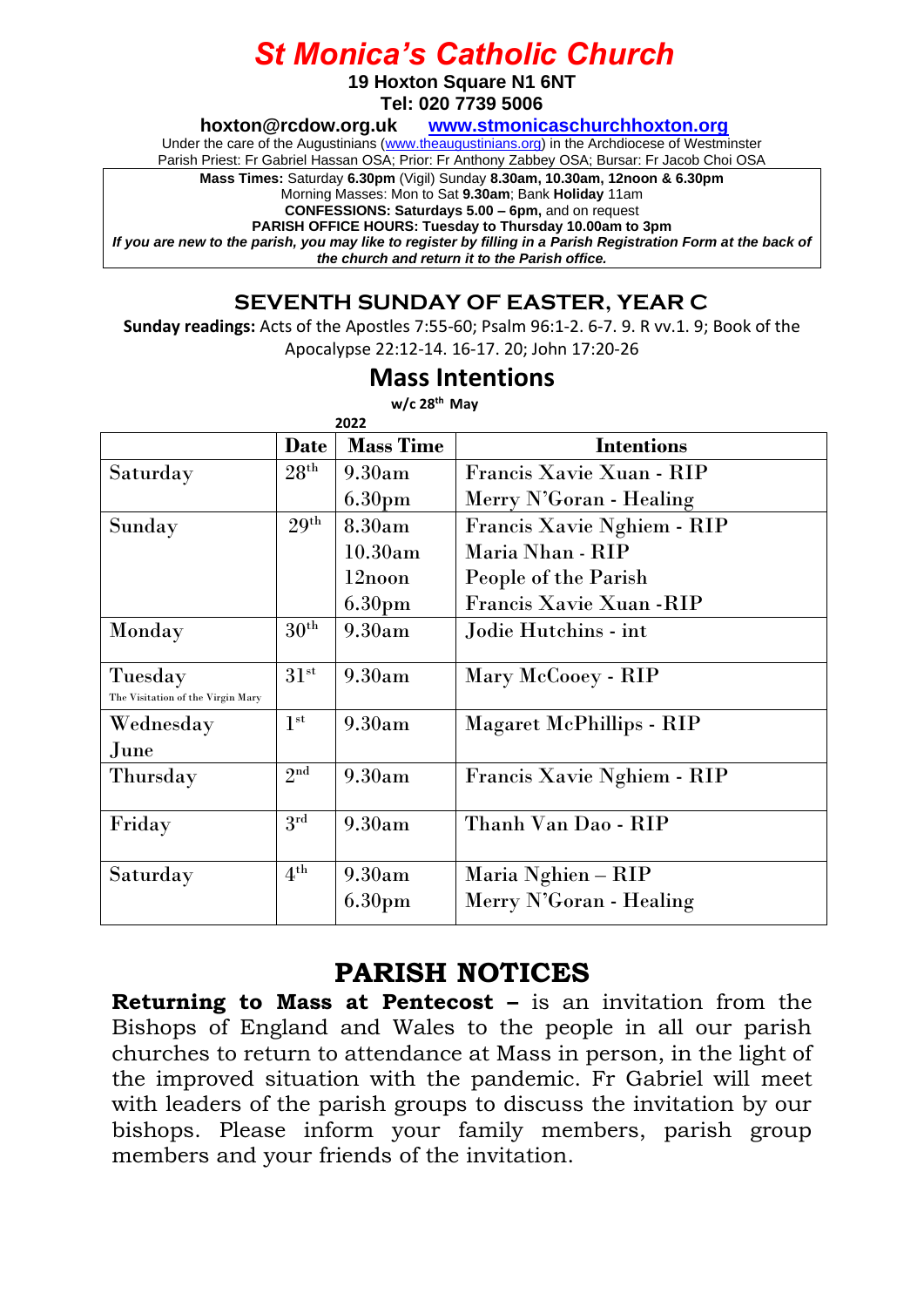## *St Monica's Catholic Church*

**19 Hoxton Square N1 6NT**

**Tel: 020 7739 5006** 

**[hoxton@rcdow.org.uk](mailto:hoxton@rcdow.org.uk) [www.stmonicaschurchhoxton.org](http://www.stmonicaschurchhoxton.org/)**

Under the care of the Augustinians [\(www.theaugustinians.org\)](http://www.theaugustinians.org/) in the Archdiocese of Westminster

Parish Priest: Fr Gabriel Hassan OSA; Prior: Fr Anthony Zabbey OSA; Bursar: Fr Jacob Choi OSA

**Mass Times:** Saturday **6.30pm** (Vigil) Sunday **8.30am, 10.30am, 12noon & 6.30pm**

Morning Masses: Mon to Sat **9.30am**; Bank **Holiday** 11am

**CONFESSIONS: Saturdays 5.00 – 6pm,** and on request **PARISH OFFICE HOURS: Tuesday to Thursday 10.00am to 3pm**

*If you are new to the parish, you may like to register by filling in a Parish Registration Form at the back of the church and return it to the Parish office.*

## **SEVENTH SUNDAY OF EASTER, YEAR C**

**Sunday readings:** Acts of the Apostles 7:55-60; Psalm 96:1-2. 6-7. 9. R vv.1. 9; Book of the Apocalypse 22:12-14. 16-17. 20; John 17:20-26

## **Mass Intentions**

**w/c 28th May**

|                                              | Date             | <b>Mass Time</b>   | <b>Intentions</b>          |
|----------------------------------------------|------------------|--------------------|----------------------------|
| Saturday                                     | 28 <sup>th</sup> | 9.30am             | Francis Xavie Xuan - RIP   |
|                                              |                  | 6.30 <sub>pm</sub> | Merry N'Goran - Healing    |
| Sunday                                       | 29 <sup>th</sup> | 8.30am             | Francis Xavie Nghiem - RIP |
|                                              |                  | 10.30am            | Maria Nhan - RIP           |
|                                              |                  | $12$ noon          | People of the Parish       |
|                                              |                  | 6.30 <sub>pm</sub> | Francis Xavie Xuan - RIP   |
| Monday                                       | $30^{\rm th}$    | 9.30am             | Jodie Hutchins - int       |
| Tuesday<br>The Visitation of the Virgin Mary | $31^{st}$        | 9.30am             | Mary McCooey - RIP         |
| Wednesday                                    | 1 <sup>st</sup>  | 9.30am             | Magaret McPhillips - RIP   |
| June                                         | 2 <sup>nd</sup>  |                    |                            |
| Thursday                                     |                  | 9.30am             | Francis Xavie Nghiem - RIP |
| Friday                                       | $3^{\rm rd}$     | 9.30am             | Thanh Van Dao - RIP        |
| Saturday                                     | 4 <sup>th</sup>  | 9.30am             | Maria Nghien – RIP         |
|                                              |                  | 6.30 <sub>pm</sub> | Merry N'Goran - Healing    |

## **PARISH NOTICES**

**Returning to Mass at Pentecost –** is an invitation from the Bishops of England and Wales to the people in all our parish churches to return to attendance at Mass in person, in the light of the improved situation with the pandemic. Fr Gabriel will meet with leaders of the parish groups to discuss the invitation by our bishops. Please inform your family members, parish group members and your friends of the invitation.